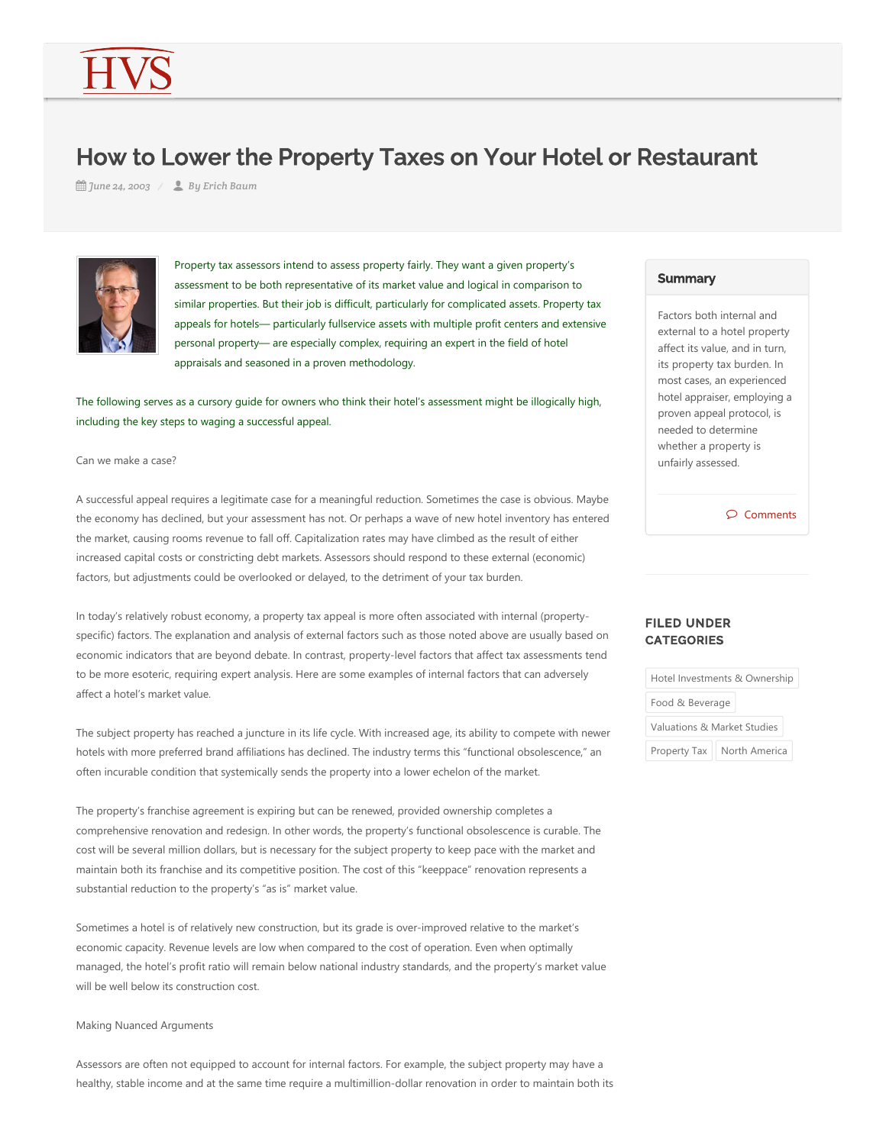# How to Lower the Property Taxes on Your Hotel or Restaurant

*June 24, 2003 By Erich Baum*



Property tax assessors intend to assess property fairly. They want a given property's assessment to be both representative of its market value and logical in comparison to similar properties. But their job is difficult, particularly for complicated assets. Property tax appeals for hotels— particularly fullservice assets with multiple profit centers and extensive personal property— are especially complex, requiring an expert in the field of hotel appraisals and seasoned in a proven methodology.

The following serves as a cursory guide for owners who think their hotel's assessment might be illogically high, including the key steps to waging a successful appeal.

#### Can we make a case?

A successful appeal requires a legitimate case for a meaningful reduction. Sometimes the case is obvious. Maybe the economy has declined, but your assessment has not. Or perhaps a wave of new hotel inventory has entered the market, causing rooms revenue to fall off. Capitalization rates may have climbed as the result of either increased capital costs or constricting debt markets. Assessors should respond to these external (economic) factors, but adjustments could be overlooked or delayed, to the detriment of your tax burden.

In today's relatively robust economy, a property tax appeal is more often associated with internal (propertyspecific) factors. The explanation and analysis of external factors such as those noted above are usually based on economic indicators that are beyond debate. In contrast, property-level factors that affect tax assessments tend to be more esoteric, requiring expert analysis. Here are some examples of internal factors that can adversely affect a hotel's market value.

The subject property has reached a juncture in its life cycle. With increased age, its ability to compete with newer hotels with more preferred brand affiliations has declined. The industry terms this "functional obsolescence," an often incurable condition that systemically sends the property into a lower echelon of the market.

The property's franchise agreement is expiring but can be renewed, provided ownership completes a comprehensive renovation and redesign. In other words, the property's functional obsolescence is curable. The cost will be several million dollars, but is necessary for the subject property to keep pace with the market and maintain both its franchise and its competitive position. The cost of this "keeppace" renovation represents a substantial reduction to the property's "as is" market value.

Sometimes a hotel is of relatively new construction, but its grade is over-improved relative to the market's economic capacity. Revenue levels are low when compared to the cost of operation. Even when optimally managed, the hotel's profit ratio will remain below national industry standards, and the property's market value will be well below its construction cost.

## Making Nuanced Arguments

Assessors are often not equipped to account for internal factors. For example, the subject property may have a healthy, stable income and at the same time require a multimillion-dollar renovation in order to maintain both its

## **Summary**

Factors both internal and external to a hotel property affect its value, and in turn, its property tax burden. In most cases, an experienced hotel appraiser, employing a proven appeal protocol, is needed to determine whether a property is unfairly assessed.

 $\circledcirc$  Comments

# FILED UNDER **CATEGORIES**

Hotel Investments & Ownership

Food & Beverage

Valuations & Market Studies

Property Tax | North America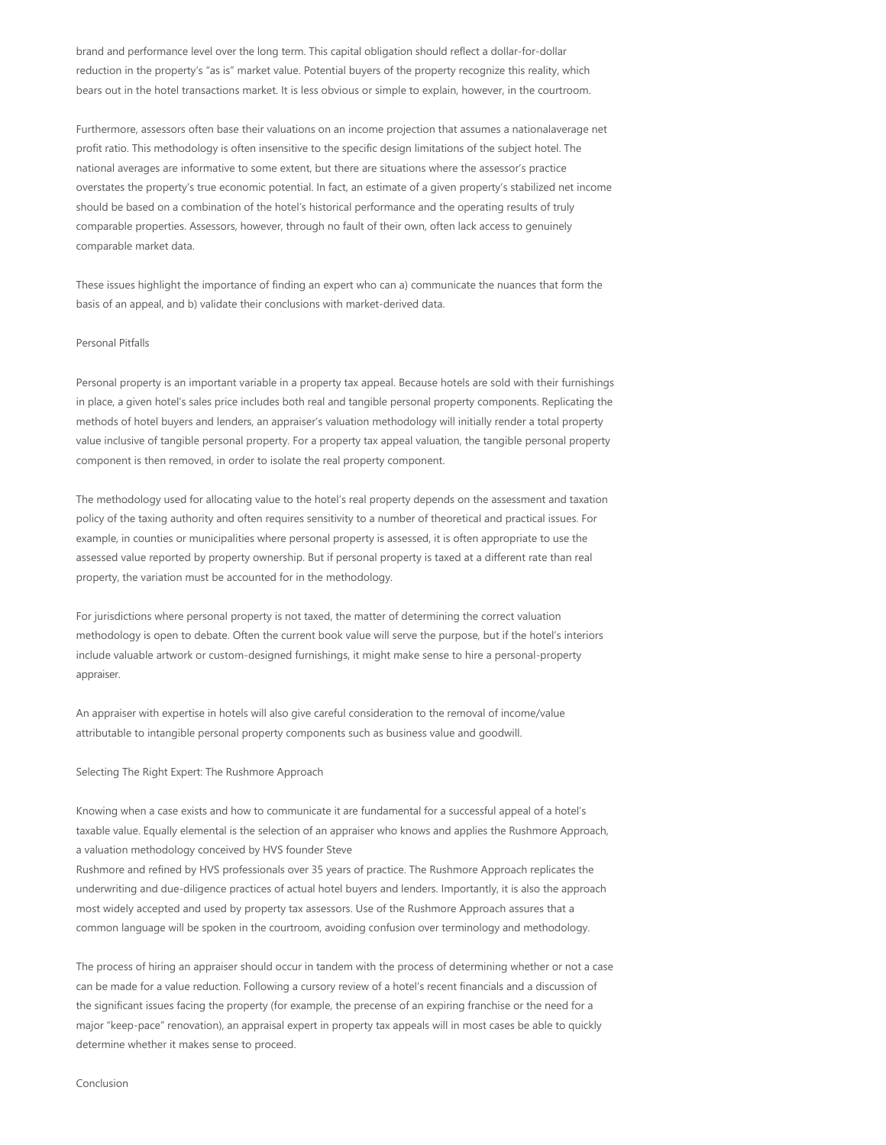brand and performance level over the long term. This capital obligation should reflect a dollar‐for‐dollar reduction in the property's "as is" market value. Potential buyers of the property recognize this reality, which bears out in the hotel transactions market. It is less obvious or simple to explain, however, in the courtroom.

Furthermore, assessors often base their valuations on an income projection that assumes a nationalaverage net profit ratio. This methodology is often insensitive to the specific design limitations of the subject hotel. The national averages are informative to some extent, but there are situations where the assessor's practice overstates the property's true economic potential. In fact, an estimate of a given property's stabilized net income should be based on a combination of the hotel's historical performance and the operating results of truly comparable properties. Assessors, however, through no fault of their own, often lack access to genuinely comparable market data.

These issues highlight the importance of finding an expert who can a) communicate the nuances that form the basis of an appeal, and b) validate their conclusions with market-derived data.

## Personal Pitfalls

Personal property is an important variable in a property tax appeal. Because hotels are sold with their furnishings in place, a given hotel's sales price includes both real and tangible personal property components. Replicating the methods of hotel buyers and lenders, an appraiser's valuation methodology will initially render a total property value inclusive of tangible personal property. For a property tax appeal valuation, the tangible personal property component is then removed, in order to isolate the real property component.

The methodology used for allocating value to the hotel's real property depends on the assessment and taxation policy of the taxing authority and often requires sensitivity to a number of theoretical and practical issues. For example, in counties or municipalities where personal property is assessed, it is often appropriate to use the assessed value reported by property ownership. But if personal property is taxed at a different rate than real property, the variation must be accounted for in the methodology.

For jurisdictions where personal property is not taxed, the matter of determining the correct valuation methodology is open to debate. Often the current book value will serve the purpose, but if the hotel's interiors include valuable artwork or custom‐designed furnishings, it might make sense to hire a personal‐property appraiser.

An appraiser with expertise in hotels will also give careful consideration to the removal of income/value attributable to intangible personal property components such as business value and goodwill.

Selecting The Right Expert: The Rushmore Approach

Knowing when a case exists and how to communicate it are fundamental for a successful appeal of a hotel's taxable value. Equally elemental is the selection of an appraiser who knows and applies the Rushmore Approach, a valuation methodology conceived by HVS founder Steve

Rushmore and refined by HVS professionals over 35 years of practice. The Rushmore Approach replicates the underwriting and due‐diligence practices of actual hotel buyers and lenders. Importantly, it is also the approach most widely accepted and used by property tax assessors. Use of the Rushmore Approach assures that a common language will be spoken in the courtroom, avoiding confusion over terminology and methodology.

The process of hiring an appraiser should occur in tandem with the process of determining whether or not a case can be made for a value reduction. Following a cursory review of a hotel's recent financials and a discussion of the significant issues facing the property (for example, the precense of an expiring franchise or the need for a major "keep-pace" renovation), an appraisal expert in property tax appeals will in most cases be able to quickly determine whether it makes sense to proceed.